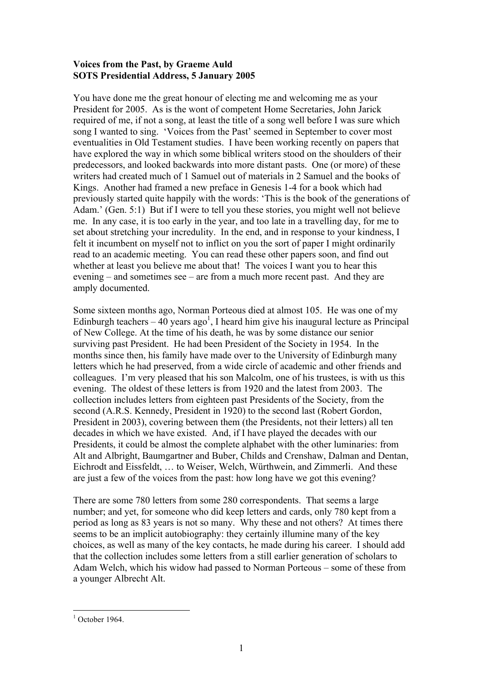## **Voices from the Past, by Graeme Auld SOTS Presidential Address, 5 January 2005**

You have done me the great honour of electing me and welcoming me as your President for 2005. As is the wont of competent Home Secretaries, John Jarick required of me, if not a song, at least the title of a song well before I was sure which song I wanted to sing. 'Voices from the Past' seemed in September to cover most eventualities in Old Testament studies. I have been working recently on papers that have explored the way in which some biblical writers stood on the shoulders of their predecessors, and looked backwards into more distant pasts. One (or more) of these writers had created much of 1 Samuel out of materials in 2 Samuel and the books of Kings. Another had framed a new preface in Genesis 1-4 for a book which had previously started quite happily with the words: 'This is the book of the generations of Adam.' (Gen. 5:1) But if I were to tell you these stories, you might well not believe me. In any case, it is too early in the year, and too late in a travelling day, for me to set about stretching your incredulity. In the end, and in response to your kindness, I felt it incumbent on myself not to inflict on you the sort of paper I might ordinarily read to an academic meeting. You can read these other papers soon, and find out whether at least you believe me about that! The voices I want you to hear this evening – and sometimes see – are from a much more recent past. And they are amply documented.

Some sixteen months ago, Norman Porteous died at almost 105. He was one of my Edinburgh teachers  $-40$  years ago<sup>1</sup>, I heard him give his inaugural lecture as Principal of New College. At the time of his death, he was by some distance our senior surviving past President. He had been President of the Society in 1954. In the months since then, his family have made over to the University of Edinburgh many letters which he had preserved, from a wide circle of academic and other friends and colleagues. I'm very pleased that his son Malcolm, one of his trustees, is with us this evening. The oldest of these letters is from 1920 and the latest from 2003. The collection includes letters from eighteen past Presidents of the Society, from the second (A.R.S. Kennedy, President in 1920) to the second last (Robert Gordon, President in 2003), covering between them (the Presidents, not their letters) all ten decades in which we have existed. And, if I have played the decades with our Presidents, it could be almost the complete alphabet with the other luminaries: from Alt and Albright, Baumgartner and Buber, Childs and Crenshaw, Dalman and Dentan, Eichrodt and Eissfeldt, … to Weiser, Welch, Würthwein, and Zimmerli. And these are just a few of the voices from the past: how long have we got this evening?

There are some 780 letters from some 280 correspondents. That seems a large number; and yet, for someone who did keep letters and cards, only 780 kept from a period as long as 83 years is not so many. Why these and not others? At times there seems to be an implicit autobiography: they certainly illumine many of the key choices, as well as many of the key contacts, he made during his career. I should add that the collection includes some letters from a still earlier generation of scholars to Adam Welch, which his widow had passed to Norman Porteous – some of these from a younger Albrecht Alt.

 $1$  October 1964.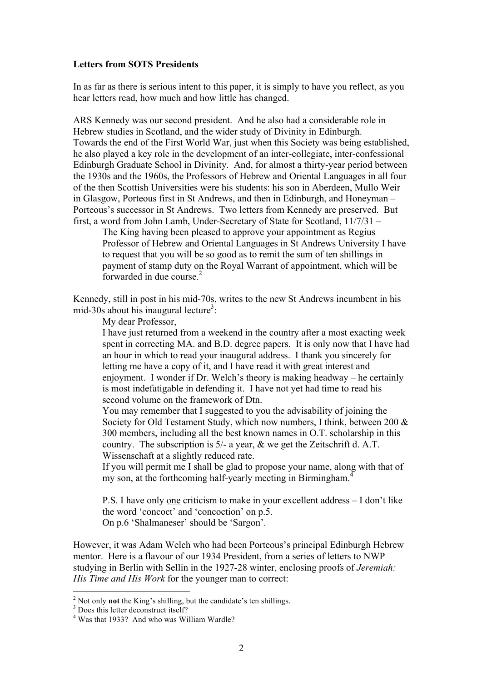## **Letters from SOTS Presidents**

In as far as there is serious intent to this paper, it is simply to have you reflect, as you hear letters read, how much and how little has changed.

ARS Kennedy was our second president. And he also had a considerable role in Hebrew studies in Scotland, and the wider study of Divinity in Edinburgh. Towards the end of the First World War, just when this Society was being established, he also played a key role in the development of an inter-collegiate, inter-confessional Edinburgh Graduate School in Divinity. And, for almost a thirty-year period between the 1930s and the 1960s, the Professors of Hebrew and Oriental Languages in all four of the then Scottish Universities were his students: his son in Aberdeen, Mullo Weir in Glasgow, Porteous first in St Andrews, and then in Edinburgh, and Honeyman – Porteous's successor in St Andrews. Two letters from Kennedy are preserved. But first, a word from John Lamb, Under-Secretary of State for Scotland, 11/7/31 –

The King having been pleased to approve your appointment as Regius Professor of Hebrew and Oriental Languages in St Andrews University I have to request that you will be so good as to remit the sum of ten shillings in payment of stamp duty on the Royal Warrant of appointment, which will be forwarded in due course. $2$ 

Kennedy, still in post in his mid-70s, writes to the new St Andrews incumbent in his mid-30s about his inaugural lecture<sup>3</sup>:

My dear Professor,

I have just returned from a weekend in the country after a most exacting week spent in correcting MA. and B.D. degree papers. It is only now that I have had an hour in which to read your inaugural address. I thank you sincerely for letting me have a copy of it, and I have read it with great interest and enjoyment. I wonder if Dr. Welch's theory is making headway – he certainly is most indefatigable in defending it. I have not yet had time to read his second volume on the framework of Dtn.

You may remember that I suggested to you the advisability of joining the Society for Old Testament Study, which now numbers, I think, between 200 & 300 members, including all the best known names in O.T. scholarship in this country. The subscription is 5/- a year, & we get the Zeitschrift d. A.T. Wissenschaft at a slightly reduced rate.

If you will permit me I shall be glad to propose your name, along with that of my son, at the forthcoming half-yearly meeting in Birmingham.<sup>4</sup>

P.S. I have only one criticism to make in your excellent address – I don't like the word 'concoct' and 'concoction' on p.5. On p.6 'Shalmaneser' should be 'Sargon'.

However, it was Adam Welch who had been Porteous's principal Edinburgh Hebrew mentor. Here is a flavour of our 1934 President, from a series of letters to NWP studying in Berlin with Sellin in the 1927-28 winter, enclosing proofs of *Jeremiah: His Time and His Work* for the younger man to correct:

 $2^2$  Not only **not** the King's shilling, but the candidate's ten shillings.<br> $3$  Does this letter deconstruct itself?<br> $4$  Was that 1933? And who was William Wardle?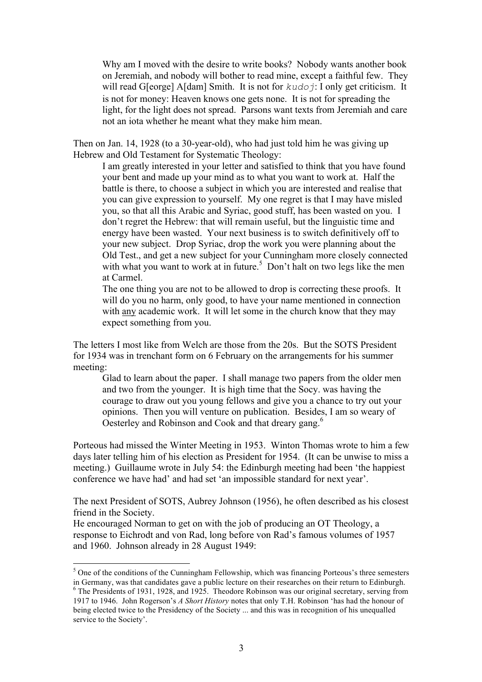Why am I moved with the desire to write books? Nobody wants another book on Jeremiah, and nobody will bother to read mine, except a faithful few. They will read G[eorge] A[dam] Smith. It is not for *kudoj*: I only get criticism. It is not for money: Heaven knows one gets none. It is not for spreading the light, for the light does not spread. Parsons want texts from Jeremiah and care not an iota whether he meant what they make him mean.

Then on Jan. 14, 1928 (to a 30-year-old), who had just told him he was giving up Hebrew and Old Testament for Systematic Theology:

I am greatly interested in your letter and satisfied to think that you have found your bent and made up your mind as to what you want to work at. Half the battle is there, to choose a subject in which you are interested and realise that you can give expression to yourself. My one regret is that I may have misled you, so that all this Arabic and Syriac, good stuff, has been wasted on you. I don't regret the Hebrew: that will remain useful, but the linguistic time and energy have been wasted. Your next business is to switch definitively off to your new subject. Drop Syriac, drop the work you were planning about the Old Test., and get a new subject for your Cunningham more closely connected with what you want to work at in future.<sup>5</sup> Don't halt on two legs like the men at Carmel.

The one thing you are not to be allowed to drop is correcting these proofs. It will do you no harm, only good, to have your name mentioned in connection with any academic work. It will let some in the church know that they may expect something from you.

The letters I most like from Welch are those from the 20s. But the SOTS President for 1934 was in trenchant form on 6 February on the arrangements for his summer meeting:

Glad to learn about the paper. I shall manage two papers from the older men and two from the younger. It is high time that the Socy. was having the courage to draw out you young fellows and give you a chance to try out your opinions. Then you will venture on publication. Besides, I am so weary of Oesterley and Robinson and Cook and that dreary gang.<sup>6</sup>

Porteous had missed the Winter Meeting in 1953. Winton Thomas wrote to him a few days later telling him of his election as President for 1954. (It can be unwise to miss a meeting.) Guillaume wrote in July 54: the Edinburgh meeting had been 'the happiest conference we have had' and had set 'an impossible standard for next year'.

The next President of SOTS, Aubrey Johnson (1956), he often described as his closest friend in the Society.

He encouraged Norman to get on with the job of producing an OT Theology, a response to Eichrodt and von Rad, long before von Rad's famous volumes of 1957 and 1960. Johnson already in 28 August 1949:

 $<sup>5</sup>$  One of the conditions of the Cunningham Fellowship, which was financing Porteous's three semesters</sup> in Germany, was that candidates gave a public lecture on their researches on their return to Edinburgh. <sup>6</sup> The Presidents of 1931, 1928, and 1925. Theodore Robinson was our original secretary, serving from

<sup>1917</sup> to 1946. John Rogerson's *A Short History* notes that only T.H. Robinson 'has had the honour of being elected twice to the Presidency of the Society ... and this was in recognition of his unequalled service to the Society'.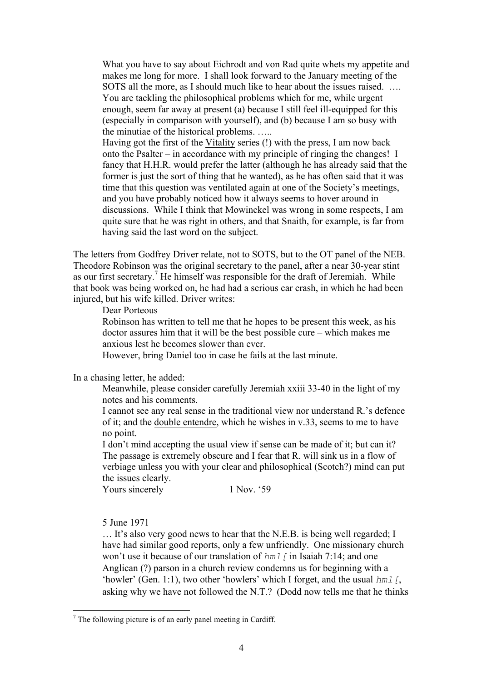What you have to say about Eichrodt and von Rad quite whets my appetite and makes me long for more. I shall look forward to the January meeting of the SOTS all the more, as I should much like to hear about the issues raised. …. You are tackling the philosophical problems which for me, while urgent enough, seem far away at present (a) because I still feel ill-equipped for this (especially in comparison with yourself), and (b) because I am so busy with the minutiae of the historical problems. …..

Having got the first of the Vitality series (!) with the press, I am now back onto the Psalter – in accordance with my principle of ringing the changes! I fancy that H.H.R. would prefer the latter (although he has already said that the former is just the sort of thing that he wanted), as he has often said that it was time that this question was ventilated again at one of the Society's meetings, and you have probably noticed how it always seems to hover around in discussions. While I think that Mowinckel was wrong in some respects, I am quite sure that he was right in others, and that Snaith, for example, is far from having said the last word on the subject.

The letters from Godfrey Driver relate, not to SOTS, but to the OT panel of the NEB. Theodore Robinson was the original secretary to the panel, after a near 30-year stint as our first secretary.<sup>7</sup> He himself was responsible for the draft of Jeremiah. While that book was being worked on, he had had a serious car crash, in which he had been injured, but his wife killed. Driver writes:

Dear Porteous

Robinson has written to tell me that he hopes to be present this week, as his doctor assures him that it will be the best possible cure – which makes me anxious lest he becomes slower than ever.

However, bring Daniel too in case he fails at the last minute.

In a chasing letter, he added:

Meanwhile, please consider carefully Jeremiah xxiii 33-40 in the light of my notes and his comments.

I cannot see any real sense in the traditional view nor understand R.'s defence of it; and the double entendre, which he wishes in v.33, seems to me to have no point.

I don't mind accepting the usual view if sense can be made of it; but can it? The passage is extremely obscure and I fear that R. will sink us in a flow of verbiage unless you with your clear and philosophical (Scotch?) mind can put the issues clearly.

Yours sincerely 1 Nov. '59

5 June 1971

… It's also very good news to hear that the N.E.B. is being well regarded; I have had similar good reports, only a few unfriendly. One missionary church won't use it because of our translation of  $hml$  [ in Isaiah 7:14; and one Anglican (?) parson in a church review condemns us for beginning with a 'howler' (Gen. 1:1), two other 'howlers' which I forget, and the usual *hml* [, asking why we have not followed the N.T.? (Dodd now tells me that he thinks

 $<sup>7</sup>$  The following picture is of an early panel meeting in Cardiff.</sup>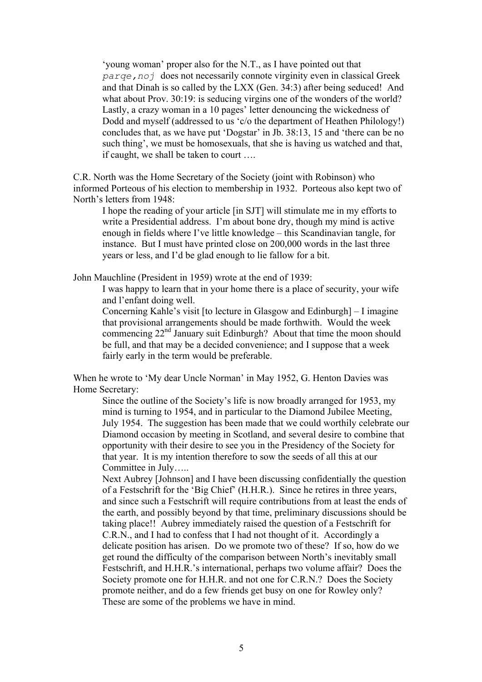'young woman' proper also for the N.T., as I have pointed out that *parqe,noj* does not necessarily connote virginity even in classical Greek and that Dinah is so called by the LXX (Gen. 34:3) after being seduced! And what about Prov. 30:19: is seducing virgins one of the wonders of the world? Lastly, a crazy woman in a 10 pages' letter denouncing the wickedness of Dodd and myself (addressed to us 'c/o the department of Heathen Philology!) concludes that, as we have put 'Dogstar' in Jb. 38:13, 15 and 'there can be no such thing', we must be homosexuals, that she is having us watched and that, if caught, we shall be taken to court ….

C.R. North was the Home Secretary of the Society (joint with Robinson) who informed Porteous of his election to membership in 1932. Porteous also kept two of North's letters from 1948:

I hope the reading of your article [in SJT] will stimulate me in my efforts to write a Presidential address. I'm about bone dry, though my mind is active enough in fields where I've little knowledge – this Scandinavian tangle, for instance. But I must have printed close on 200,000 words in the last three years or less, and I'd be glad enough to lie fallow for a bit.

John Mauchline (President in 1959) wrote at the end of 1939:

I was happy to learn that in your home there is a place of security, your wife and l'enfant doing well.

Concerning Kahle's visit [to lecture in Glasgow and Edinburgh] – I imagine that provisional arrangements should be made forthwith. Would the week commencing  $22<sup>nd</sup>$  January suit Edinburgh? About that time the moon should be full, and that may be a decided convenience; and I suppose that a week fairly early in the term would be preferable.

When he wrote to 'My dear Uncle Norman' in May 1952, G. Henton Davies was Home Secretary:

Since the outline of the Society's life is now broadly arranged for 1953, my mind is turning to 1954, and in particular to the Diamond Jubilee Meeting, July 1954. The suggestion has been made that we could worthily celebrate our Diamond occasion by meeting in Scotland, and several desire to combine that opportunity with their desire to see you in the Presidency of the Society for that year. It is my intention therefore to sow the seeds of all this at our Committee in July…..

Next Aubrey [Johnson] and I have been discussing confidentially the question of a Festschrift for the 'Big Chief' (H.H.R.). Since he retires in three years, and since such a Festschrift will require contributions from at least the ends of the earth, and possibly beyond by that time, preliminary discussions should be taking place!! Aubrey immediately raised the question of a Festschrift for C.R.N., and I had to confess that I had not thought of it. Accordingly a delicate position has arisen. Do we promote two of these? If so, how do we get round the difficulty of the comparison between North's inevitably small Festschrift, and H.H.R.'s international, perhaps two volume affair? Does the Society promote one for H.H.R. and not one for C.R.N.? Does the Society promote neither, and do a few friends get busy on one for Rowley only? These are some of the problems we have in mind.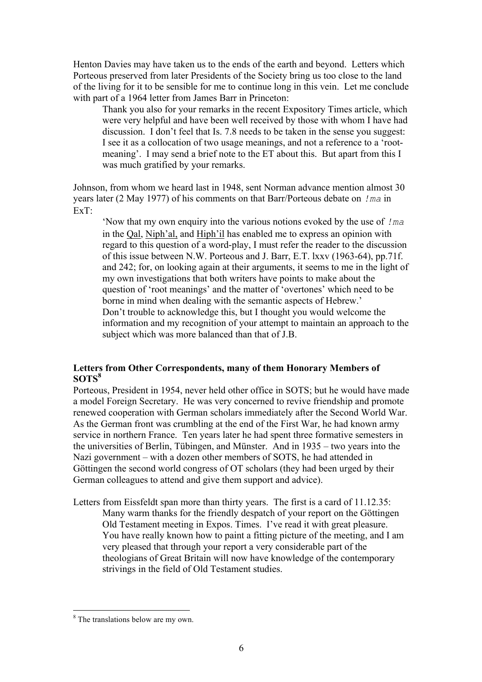Henton Davies may have taken us to the ends of the earth and beyond. Letters which Porteous preserved from later Presidents of the Society bring us too close to the land of the living for it to be sensible for me to continue long in this vein. Let me conclude with part of a 1964 letter from James Barr in Princeton:

Thank you also for your remarks in the recent Expository Times article, which were very helpful and have been well received by those with whom I have had discussion. I don't feel that Is. 7.8 needs to be taken in the sense you suggest: I see it as a collocation of two usage meanings, and not a reference to a 'rootmeaning'. I may send a brief note to the ET about this. But apart from this I was much gratified by your remarks.

Johnson, from whom we heard last in 1948, sent Norman advance mention almost 30 years later (2 May 1977) of his comments on that Barr/Porteous debate on *!ma* in ExT:

'Now that my own enquiry into the various notions evoked by the use of *!ma* in the Qal, Niph'al, and Hiph'il has enabled me to express an opinion with regard to this question of a word-play, I must refer the reader to the discussion of this issue between N.W. Porteous and J. Barr, E.T. lxxv (1963-64), pp.71f. and 242; for, on looking again at their arguments, it seems to me in the light of my own investigations that both writers have points to make about the question of 'root meanings' and the matter of 'overtones' which need to be borne in mind when dealing with the semantic aspects of Hebrew.' Don't trouble to acknowledge this, but I thought you would welcome the information and my recognition of your attempt to maintain an approach to the subject which was more balanced than that of J.B.

## **Letters from Other Correspondents, many of them Honorary Members of SOTS<sup>8</sup>**

Porteous, President in 1954, never held other office in SOTS; but he would have made a model Foreign Secretary. He was very concerned to revive friendship and promote renewed cooperation with German scholars immediately after the Second World War. As the German front was crumbling at the end of the First War, he had known army service in northern France. Ten years later he had spent three formative semesters in the universities of Berlin, Tübingen, and Münster. And in 1935 – two years into the Nazi government – with a dozen other members of SOTS, he had attended in Göttingen the second world congress of OT scholars (they had been urged by their German colleagues to attend and give them support and advice).

Letters from Eissfeldt span more than thirty years. The first is a card of 11.12.35: Many warm thanks for the friendly despatch of your report on the Göttingen Old Testament meeting in Expos. Times. I've read it with great pleasure. You have really known how to paint a fitting picture of the meeting, and I am very pleased that through your report a very considerable part of the theologians of Great Britain will now have knowledge of the contemporary strivings in the field of Old Testament studies.

 <sup>8</sup> The translations below are my own.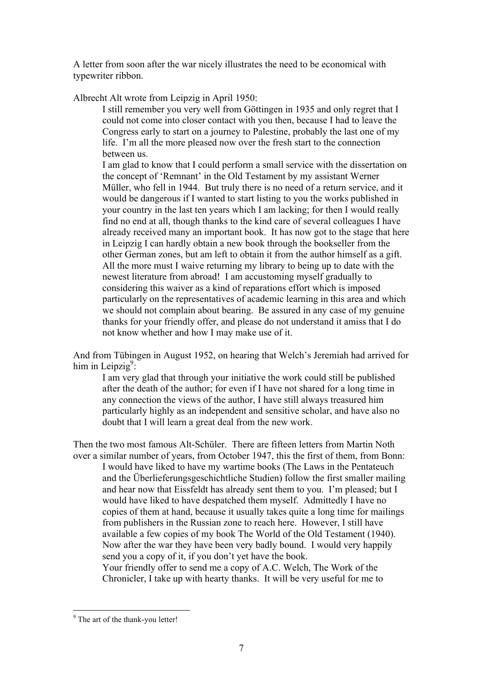A letter from soon after the war nicely illustrates the need to be economical with typewriter ribbon.

Albrecht Alt wrote from Leipzig in April 1950:

I still remember you very well from Göttingen in 1935 and only regret that I could not come into closer contact with you then, because I had to leave the Congress early to start on a journey to Palestine, probably the last one of my life. I'm all the more pleased now over the fresh start to the connection between us.

I am glad to know that I could perform a small service with the dissertation on the concept of 'Remnant' in the Old Testament by my assistant Werner Müller, who fell in 1944. But truly there is no need of a return service, and it would be dangerous if I wanted to start listing to you the works published in your country in the last ten years which I am lacking; for then I would really find no end at all, though thanks to the kind care of several colleagues I have already received many an important book. It has now got to the stage that here in Leipzig I can hardly obtain a new book through the bookseller from the other German zones, but am left to obtain it from the author himself as a gift. All the more must I waive returning my library to being up to date with the newest literature from abroad! I am accustoming myself gradually to considering this waiver as a kind of reparations effort which is imposed particularly on the representatives of academic learning in this area and which we should not complain about bearing. Be assured in any case of my genuine thanks for your friendly offer, and please do not understand it amiss that I do not know whether and how I may make use of it.

And from Tübingen in August 1952, on hearing that Welch's Jeremiah had arrived for him in Leipzig<sup>9</sup>:

I am very glad that through your initiative the work could still be published after the death of the author; for even if I have not shared for a long time in any connection the views of the author, I have still always treasured him particularly highly as an independent and sensitive scholar, and have also no doubt that I will learn a great deal from the new work.

Then the two most famous Alt-Schüler. There are fifteen letters from Martin Noth over a similar number of years, from October 1947, this the first of them, from Bonn: I would have liked to have my wartime books (The Laws in the Pentateuch and the Überlieferungsgeschichtliche Studien) follow the first smaller mailing and hear now that Eissfeldt has already sent them to you. I'm pleased; but I would have liked to have despatched them myself. Admittedly I have no copies of them at hand, because it usually takes quite a long time for mailings from publishers in the Russian zone to reach here. However, I still have available a few copies of my book The World of the Old Testament (1940). Now after the war they have been very badly bound. I would very happily send you a copy of it, if you don't yet have the book. Your friendly offer to send me a copy of A.C. Welch, The Work of the

Chronicler, I take up with hearty thanks. It will be very useful for me to

<sup>&</sup>lt;sup>9</sup> The art of the thank-you letter!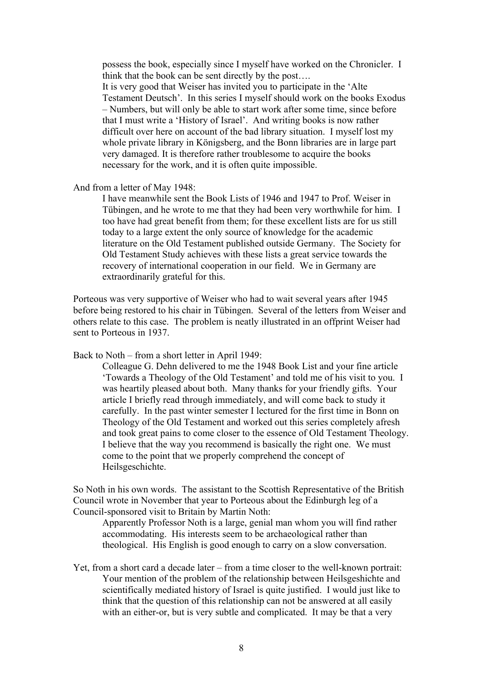possess the book, especially since I myself have worked on the Chronicler. I think that the book can be sent directly by the post…. It is very good that Weiser has invited you to participate in the 'Alte Testament Deutsch'. In this series I myself should work on the books Exodus – Numbers, but will only be able to start work after some time, since before that I must write a 'History of Israel'. And writing books is now rather difficult over here on account of the bad library situation. I myself lost my whole private library in Königsberg, and the Bonn libraries are in large part very damaged. It is therefore rather troublesome to acquire the books necessary for the work, and it is often quite impossible.

And from a letter of May 1948:

I have meanwhile sent the Book Lists of 1946 and 1947 to Prof. Weiser in Tübingen, and he wrote to me that they had been very worthwhile for him. I too have had great benefit from them; for these excellent lists are for us still today to a large extent the only source of knowledge for the academic literature on the Old Testament published outside Germany. The Society for Old Testament Study achieves with these lists a great service towards the recovery of international cooperation in our field. We in Germany are extraordinarily grateful for this.

Porteous was very supportive of Weiser who had to wait several years after 1945 before being restored to his chair in Tübingen. Several of the letters from Weiser and others relate to this case. The problem is neatly illustrated in an offprint Weiser had sent to Porteous in 1937.

Back to Noth – from a short letter in April 1949:

Colleague G. Dehn delivered to me the 1948 Book List and your fine article 'Towards a Theology of the Old Testament' and told me of his visit to you. I was heartily pleased about both. Many thanks for your friendly gifts. Your article I briefly read through immediately, and will come back to study it carefully. In the past winter semester I lectured for the first time in Bonn on Theology of the Old Testament and worked out this series completely afresh and took great pains to come closer to the essence of Old Testament Theology. I believe that the way you recommend is basically the right one. We must come to the point that we properly comprehend the concept of Heilsgeschichte.

So Noth in his own words. The assistant to the Scottish Representative of the British Council wrote in November that year to Porteous about the Edinburgh leg of a Council-sponsored visit to Britain by Martin Noth:

Apparently Professor Noth is a large, genial man whom you will find rather accommodating. His interests seem to be archaeological rather than theological. His English is good enough to carry on a slow conversation.

Yet, from a short card a decade later – from a time closer to the well-known portrait: Your mention of the problem of the relationship between Heilsgeshichte and scientifically mediated history of Israel is quite justified. I would just like to think that the question of this relationship can not be answered at all easily with an either-or, but is very subtle and complicated. It may be that a very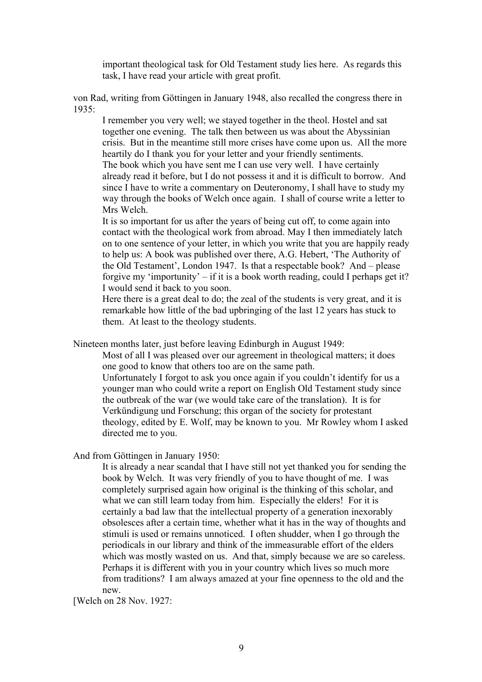important theological task for Old Testament study lies here. As regards this task, I have read your article with great profit.

von Rad, writing from Göttingen in January 1948, also recalled the congress there in 1935:

I remember you very well; we stayed together in the theol. Hostel and sat together one evening. The talk then between us was about the Abyssinian crisis. But in the meantime still more crises have come upon us. All the more heartily do I thank you for your letter and your friendly sentiments. The book which you have sent me I can use very well. I have certainly already read it before, but I do not possess it and it is difficult to borrow. And since I have to write a commentary on Deuteronomy, I shall have to study my way through the books of Welch once again. I shall of course write a letter to Mrs Welch.

It is so important for us after the years of being cut off, to come again into contact with the theological work from abroad. May I then immediately latch on to one sentence of your letter, in which you write that you are happily ready to help us: A book was published over there, A.G. Hebert, 'The Authority of the Old Testament', London 1947. Is that a respectable book? And – please forgive my 'importunity' – if it is a book worth reading, could I perhaps get it? I would send it back to you soon.

Here there is a great deal to do; the zeal of the students is very great, and it is remarkable how little of the bad upbringing of the last 12 years has stuck to them. At least to the theology students.

Nineteen months later, just before leaving Edinburgh in August 1949:

Most of all I was pleased over our agreement in theological matters; it does one good to know that others too are on the same path. Unfortunately I forgot to ask you once again if you couldn't identify for us a younger man who could write a report on English Old Testament study since the outbreak of the war (we would take care of the translation). It is for Verkündigung und Forschung; this organ of the society for protestant theology, edited by E. Wolf, may be known to you. Mr Rowley whom I asked directed me to you.

And from Göttingen in January 1950:

It is already a near scandal that I have still not yet thanked you for sending the book by Welch. It was very friendly of you to have thought of me. I was completely surprised again how original is the thinking of this scholar, and what we can still learn today from him. Especially the elders! For it is certainly a bad law that the intellectual property of a generation inexorably obsolesces after a certain time, whether what it has in the way of thoughts and stimuli is used or remains unnoticed. I often shudder, when I go through the periodicals in our library and think of the immeasurable effort of the elders which was mostly wasted on us. And that, simply because we are so careless. Perhaps it is different with you in your country which lives so much more from traditions? I am always amazed at your fine openness to the old and the new.

[Welch on 28 Nov. 1927: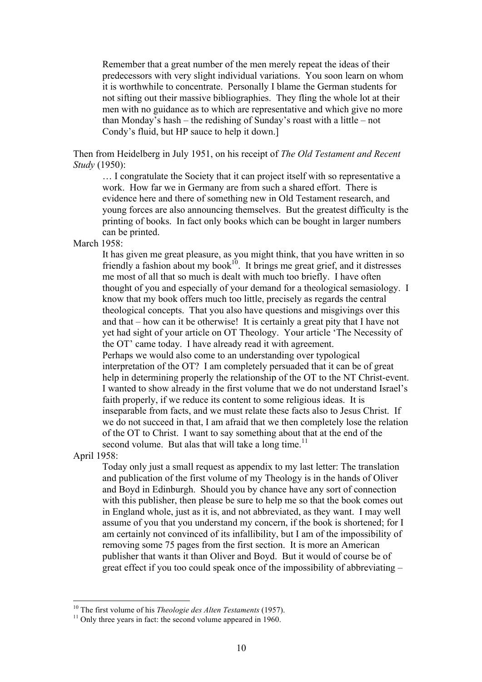Remember that a great number of the men merely repeat the ideas of their predecessors with very slight individual variations. You soon learn on whom it is worthwhile to concentrate. Personally I blame the German students for not sifting out their massive bibliographies. They fling the whole lot at their men with no guidance as to which are representative and which give no more than Monday's hash – the redishing of Sunday's roast with a little – not Condy's fluid, but HP sauce to help it down.]

Then from Heidelberg in July 1951, on his receipt of *The Old Testament and Recent Study* (1950):

… I congratulate the Society that it can project itself with so representative a work. How far we in Germany are from such a shared effort. There is evidence here and there of something new in Old Testament research, and young forces are also announcing themselves. But the greatest difficulty is the printing of books. In fact only books which can be bought in larger numbers can be printed.

March 1958:

It has given me great pleasure, as you might think, that you have written in so friendly a fashion about my book $10$ . It brings me great grief, and it distresses me most of all that so much is dealt with much too briefly. I have often thought of you and especially of your demand for a theological semasiology. I know that my book offers much too little, precisely as regards the central theological concepts. That you also have questions and misgivings over this and that – how can it be otherwise! It is certainly a great pity that I have not yet had sight of your article on OT Theology. Your article 'The Necessity of the OT' came today. I have already read it with agreement. Perhaps we would also come to an understanding over typological interpretation of the OT? I am completely persuaded that it can be of great help in determining properly the relationship of the OT to the NT Christ-event. I wanted to show already in the first volume that we do not understand Israel's faith properly, if we reduce its content to some religious ideas. It is inseparable from facts, and we must relate these facts also to Jesus Christ. If

we do not succeed in that, I am afraid that we then completely lose the relation of the OT to Christ. I want to say something about that at the end of the second volume. But alas that will take a long time.<sup>11</sup>

April 1958:

Today only just a small request as appendix to my last letter: The translation and publication of the first volume of my Theology is in the hands of Oliver and Boyd in Edinburgh. Should you by chance have any sort of connection with this publisher, then please be sure to help me so that the book comes out in England whole, just as it is, and not abbreviated, as they want. I may well assume of you that you understand my concern, if the book is shortened; for I am certainly not convinced of its infallibility, but I am of the impossibility of removing some 75 pages from the first section. It is more an American publisher that wants it than Oliver and Boyd. But it would of course be of great effect if you too could speak once of the impossibility of abbreviating –

<sup>&</sup>lt;sup>10</sup> The first volume of his *Theologie des Alten Testaments* (1957).<br><sup>11</sup> Only three years in fact: the second volume appeared in 1960.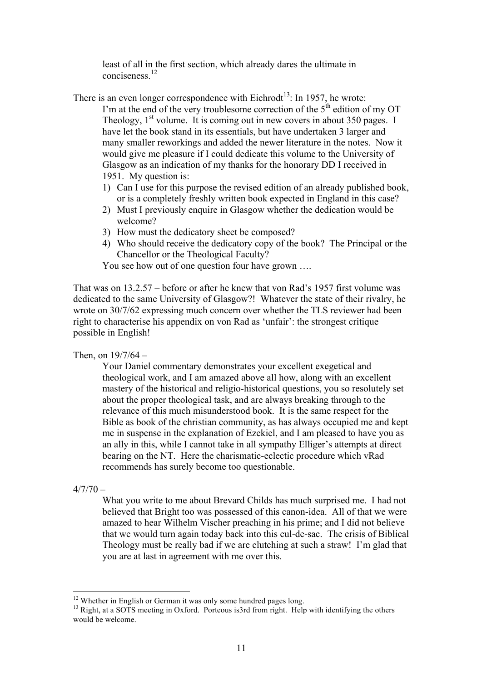least of all in the first section, which already dares the ultimate in conciseness<sup>12</sup>

There is an even longer correspondence with Eichrodt<sup>13</sup>: In 1957, he wrote:

- I'm at the end of the very troublesome correction of the  $5<sup>th</sup>$  edition of my OT Theology,  $1<sup>st</sup>$  volume. It is coming out in new covers in about 350 pages. I have let the book stand in its essentials, but have undertaken 3 larger and many smaller reworkings and added the newer literature in the notes. Now it would give me pleasure if I could dedicate this volume to the University of Glasgow as an indication of my thanks for the honorary DD I received in 1951. My question is:
	- 1) Can I use for this purpose the revised edition of an already published book, or is a completely freshly written book expected in England in this case?
	- 2) Must I previously enquire in Glasgow whether the dedication would be welcome?
	- 3) How must the dedicatory sheet be composed?
	- 4) Who should receive the dedicatory copy of the book? The Principal or the Chancellor or the Theological Faculty?

You see how out of one question four have grown ….

That was on 13.2.57 – before or after he knew that von Rad's 1957 first volume was dedicated to the same University of Glasgow?! Whatever the state of their rivalry, he wrote on 30/7/62 expressing much concern over whether the TLS reviewer had been right to characterise his appendix on von Rad as 'unfair': the strongest critique possible in English!

Then, on  $19/7/64 -$ 

Your Daniel commentary demonstrates your excellent exegetical and theological work, and I am amazed above all how, along with an excellent mastery of the historical and religio-historical questions, you so resolutely set about the proper theological task, and are always breaking through to the relevance of this much misunderstood book. It is the same respect for the Bible as book of the christian community, as has always occupied me and kept me in suspense in the explanation of Ezekiel, and I am pleased to have you as an ally in this, while I cannot take in all sympathy Elliger's attempts at direct bearing on the NT. Here the charismatic-eclectic procedure which vRad recommends has surely become too questionable.

 $4/7/70 -$ 

What you write to me about Brevard Childs has much surprised me. I had not believed that Bright too was possessed of this canon-idea. All of that we were amazed to hear Wilhelm Vischer preaching in his prime; and I did not believe that we would turn again today back into this cul-de-sac. The crisis of Biblical Theology must be really bad if we are clutching at such a straw! I'm glad that you are at last in agreement with me over this.

<sup>&</sup>lt;sup>12</sup> Whether in English or German it was only some hundred pages long.<br><sup>13</sup> Right, at a SOTS meeting in Oxford. Porteous is3rd from right. Help with identifying the others would be welcome.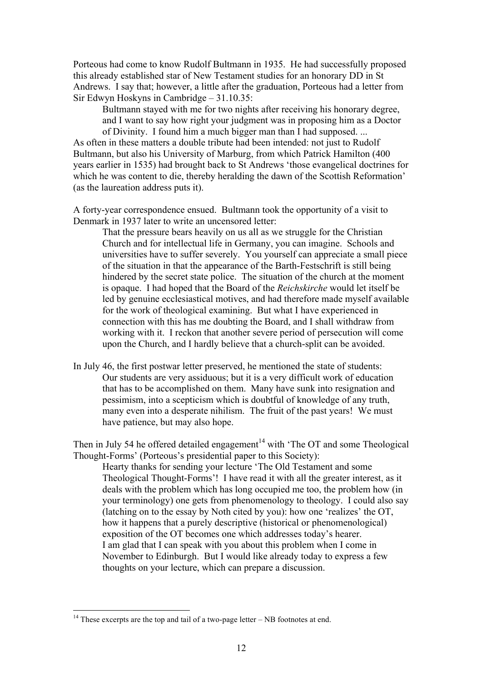Porteous had come to know Rudolf Bultmann in 1935. He had successfully proposed this already established star of New Testament studies for an honorary DD in St Andrews. I say that; however, a little after the graduation, Porteous had a letter from Sir Edwyn Hoskyns in Cambridge – 31.10.35:

Bultmann stayed with me for two nights after receiving his honorary degree, and I want to say how right your judgment was in proposing him as a Doctor of Divinity. I found him a much bigger man than I had supposed. ...

As often in these matters a double tribute had been intended: not just to Rudolf Bultmann, but also his University of Marburg, from which Patrick Hamilton (400 years earlier in 1535) had brought back to St Andrews 'those evangelical doctrines for which he was content to die, thereby heralding the dawn of the Scottish Reformation' (as the laureation address puts it).

A forty-year correspondence ensued. Bultmann took the opportunity of a visit to Denmark in 1937 later to write an uncensored letter:

That the pressure bears heavily on us all as we struggle for the Christian Church and for intellectual life in Germany, you can imagine. Schools and universities have to suffer severely. You yourself can appreciate a small piece of the situation in that the appearance of the Barth-Festschrift is still being hindered by the secret state police. The situation of the church at the moment is opaque. I had hoped that the Board of the *Reichskirche* would let itself be led by genuine ecclesiastical motives, and had therefore made myself available for the work of theological examining. But what I have experienced in connection with this has me doubting the Board, and I shall withdraw from working with it. I reckon that another severe period of persecution will come upon the Church, and I hardly believe that a church-split can be avoided.

In July 46, the first postwar letter preserved, he mentioned the state of students: Our students are very assiduous; but it is a very difficult work of education that has to be accomplished on them. Many have sunk into resignation and pessimism, into a scepticism which is doubtful of knowledge of any truth, many even into a desperate nihilism. The fruit of the past years! We must have patience, but may also hope.

Then in July 54 he offered detailed engagement<sup>14</sup> with 'The OT and some Theological Thought-Forms' (Porteous's presidential paper to this Society):

Hearty thanks for sending your lecture 'The Old Testament and some Theological Thought-Forms'! I have read it with all the greater interest, as it deals with the problem which has long occupied me too, the problem how (in your terminology) one gets from phenomenology to theology. I could also say (latching on to the essay by Noth cited by you): how one 'realizes' the OT, how it happens that a purely descriptive (historical or phenomenological) exposition of the OT becomes one which addresses today's hearer. I am glad that I can speak with you about this problem when I come in November to Edinburgh. But I would like already today to express a few thoughts on your lecture, which can prepare a discussion.

<sup>&</sup>lt;sup>14</sup> These excerpts are the top and tail of a two-page letter – NB footnotes at end.